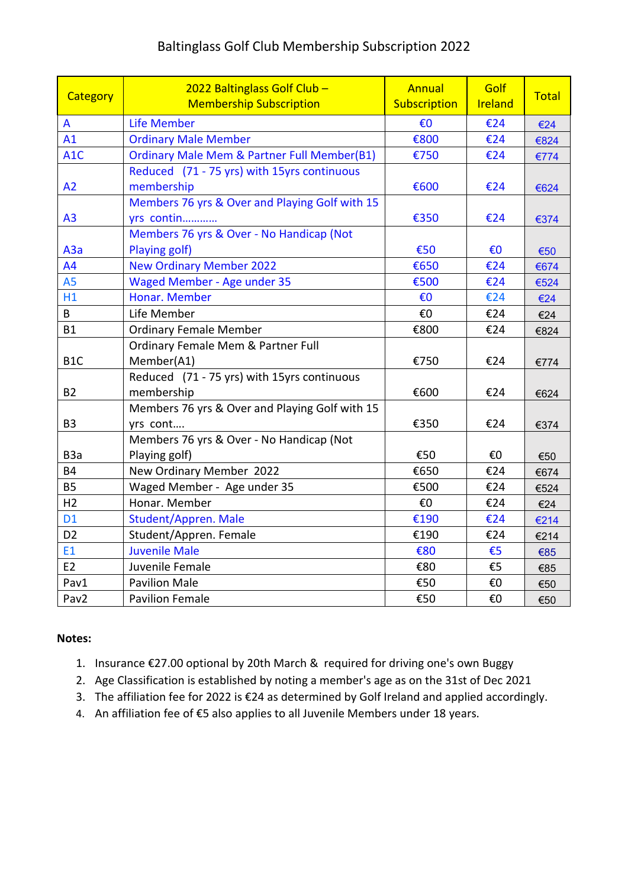## Baltinglass Golf Club Membership Subscription 2022

| Category         | 2022 Baltinglass Golf Club -<br><b>Membership Subscription</b> | Annual<br>Subscription | Golf<br>Ireland | <b>Total</b> |
|------------------|----------------------------------------------------------------|------------------------|-----------------|--------------|
| A                | <b>Life Member</b>                                             | €0                     | €24             | €24          |
| A1               | <b>Ordinary Male Member</b>                                    | €800                   | €24             | €824         |
| A <sub>1</sub> C | <b>Ordinary Male Mem &amp; Partner Full Member(B1)</b>         | €750                   | €24             | €774         |
|                  | Reduced (71 - 75 yrs) with 15yrs continuous                    |                        |                 |              |
| A2               | membership                                                     | €600                   | €24             | €624         |
|                  | Members 76 yrs & Over and Playing Golf with 15                 |                        |                 |              |
| A <sub>3</sub>   | yrs contin                                                     | €350                   | €24             | €374         |
|                  | Members 76 yrs & Over - No Handicap (Not                       |                        |                 |              |
| A3a              | Playing golf)                                                  | €50                    | €0              | €50          |
| A4               | <b>New Ordinary Member 2022</b>                                | €650                   | €24             | €674         |
| A <sub>5</sub>   | <b>Waged Member - Age under 35</b>                             | €500                   | €24             | €524         |
| H1               | Honar. Member                                                  | €0                     | €24             | €24          |
| B                | Life Member                                                    | €0                     | €24             | €24          |
| <b>B1</b>        | <b>Ordinary Female Member</b>                                  | €800                   | €24             | €824         |
|                  | Ordinary Female Mem & Partner Full                             |                        |                 |              |
| B <sub>1</sub> C | Member(A1)                                                     | €750                   | €24             | €774         |
|                  | Reduced (71 - 75 yrs) with 15yrs continuous                    |                        |                 |              |
| <b>B2</b>        | membership                                                     | €600                   | €24             | €624         |
|                  | Members 76 yrs & Over and Playing Golf with 15                 |                        |                 |              |
| B <sub>3</sub>   | yrs cont                                                       | €350                   | €24             | €374         |
|                  | Members 76 yrs & Over - No Handicap (Not                       |                        |                 |              |
| B <sub>3</sub> a | Playing golf)                                                  | €50                    | €0              | €50          |
| <b>B4</b>        | New Ordinary Member 2022                                       | €650                   | €24             | €674         |
| <b>B5</b>        | Waged Member - Age under 35                                    | €500                   | €24             | €524         |
| H <sub>2</sub>   | Honar. Member                                                  | €0                     | €24             | €24          |
| <b>D1</b>        | Student/Appren. Male                                           | €190                   | €24             | €214         |
| D <sub>2</sub>   | Student/Appren. Female                                         | €190                   | €24             | €214         |
| E1               | <b>Juvenile Male</b>                                           | €80                    | €5              | €85          |
| E <sub>2</sub>   | Juvenile Female                                                | €80                    | €5              | €85          |
| Pav1             | <b>Pavilion Male</b>                                           | €50                    | €0              | €50          |
| Pav2             | <b>Pavilion Female</b>                                         | €50                    | €O              | €50          |

## **Notes:**

- 1. Insurance €27.00 optional by 20th March & required for driving one's own Buggy
- 2. Age Classification is established by noting a member's age as on the 31st of Dec 2021
- 3. The affiliation fee for 2022 is €24 as determined by Golf Ireland and applied accordingly.
- 4. An affiliation fee of €5 also applies to all Juvenile Members under 18 years.